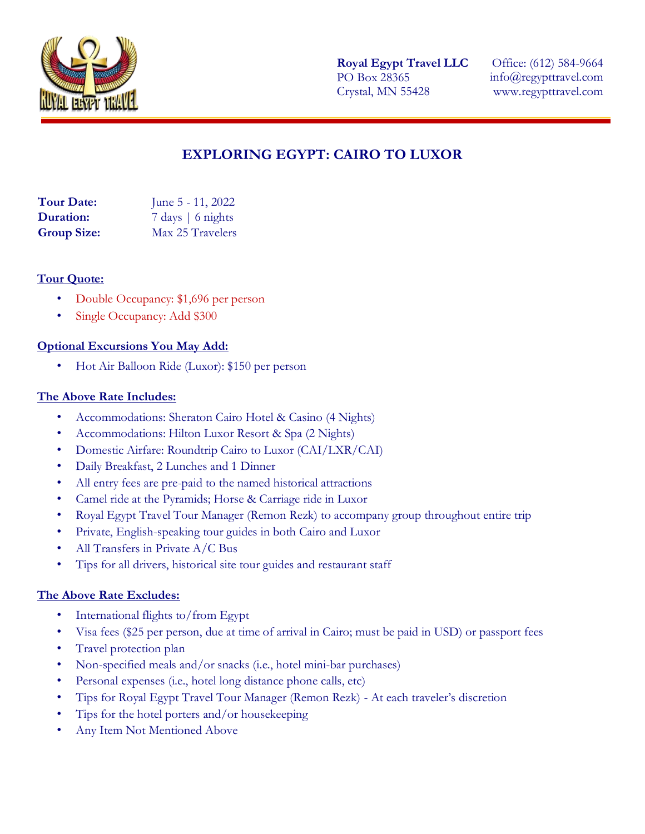

**Royal Egypt Travel LLC** PO Box 28365 Crystal, MN 55428

Office: (612) 584-9664 info@regypttravel.com www.regypttravel.com

# **EXPLORING EGYPT: CAIRO TO LUXOR**

| <b>Tour Date:</b>  | June 5 - 11, 2022           |
|--------------------|-----------------------------|
| <b>Duration:</b>   | $7 \text{ days}$   6 nights |
| <b>Group Size:</b> | Max 25 Travelers            |

#### **Tour Quote:**

- Double Occupancy: \$1,696 per person
- Single Occupancy: Add \$300

#### **Optional Excursions You May Add:**

• Hot Air Balloon Ride (Luxor): \$150 per person

#### **The Above Rate Includes:**

- Accommodations: Sheraton Cairo Hotel & Casino (4 Nights)
- Accommodations: Hilton Luxor Resort & Spa (2 Nights)
- Domestic Airfare: Roundtrip Cairo to Luxor (CAI/LXR/CAI)
- Daily Breakfast, 2 Lunches and 1 Dinner
- All entry fees are pre-paid to the named historical attractions
- Camel ride at the Pyramids; Horse & Carriage ride in Luxor
- Royal Egypt Travel Tour Manager (Remon Rezk) to accompany group throughout entire trip
- Private, English-speaking tour guides in both Cairo and Luxor
- All Transfers in Private A/C Bus
- Tips for all drivers, historical site tour guides and restaurant staff

#### **The Above Rate Excludes:**

- International flights to/from Egypt
- Visa fees (\$25 per person, due at time of arrival in Cairo; must be paid in USD) or passport fees
- Travel protection plan
- Non-specified meals and/or snacks (i.e., hotel mini-bar purchases)
- Personal expenses (i.e., hotel long distance phone calls, etc)
- Tips for Royal Egypt Travel Tour Manager (Remon Rezk) At each traveler's discretion
- Tips for the hotel porters and/or housekeeping
- Any Item Not Mentioned Above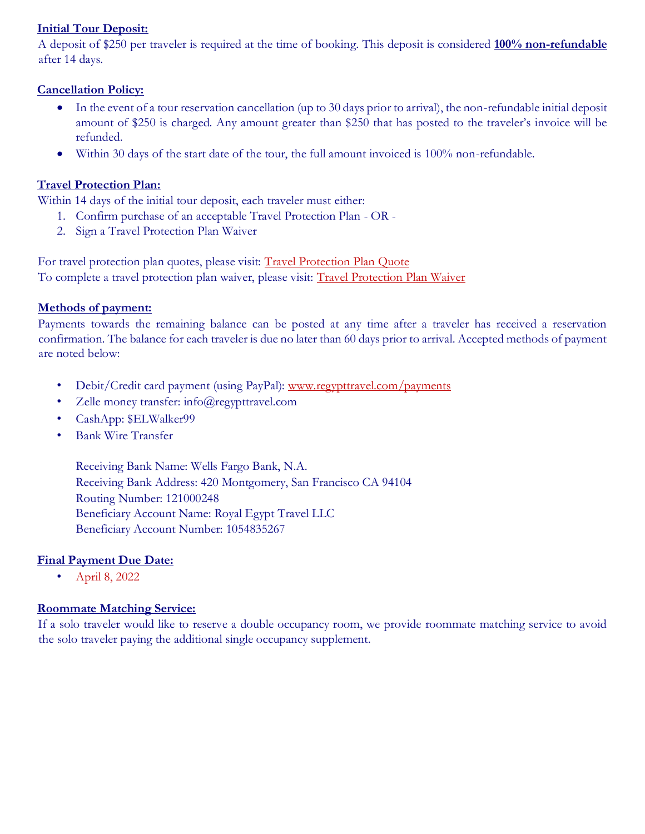# **Initial Tour Deposit:**

A deposit of \$250 per traveler is required at the time of booking. This deposit is considered **100% non-refundable** after 14 days.

# **Cancellation Policy:**

- In the event of a tour reservation cancellation (up to 30 days prior to arrival), the non-refundable initial deposit amount of \$250 is charged. Any amount greater than \$250 that has posted to the traveler's invoice will be refunded.
- Within 30 days of the start date of the tour, the full amount invoiced is 100% non-refundable.

# **Travel Protection Plan:**

Within 14 days of the initial tour deposit, each traveler must either:

- 1. Confirm purchase of an acceptable Travel Protection Plan OR -
- 2. Sign a Travel Protection Plan Waiver

For travel protection plan quotes, please visit: [Travel Protection Plan Quote](https://www.regypttravel.com/travelprotectionplan) To complete a travel protection plan waiver, please visit: [Travel Protection Plan Waiver](https://www.regypttravel.com/travelprotectionwaiver)

# **Methods of payment:**

Payments towards the remaining balance can be posted at any time after a traveler has received a reservation confirmation. The balance for each traveler is due no later than 60 days prior to arrival. Accepted methods of payment are noted below:

- Debit/Credit card payment (using PayPal): [www.regypttravel.com/payments](http://www.regypttravel.com/payments)
- Zelle money transfer: info@regypttravel.com
- CashApp: \$ELWalker99
- Bank Wire Transfer

Receiving Bank Name: Wells Fargo Bank, N.A. Receiving Bank Address: 420 Montgomery, San Francisco CA 94104 Routing Number: 121000248 Beneficiary Account Name: Royal Egypt Travel LLC Beneficiary Account Number: 1054835267

# **Final Payment Due Date:**

• April 8, 2022

# **Roommate Matching Service:**

If a solo traveler would like to reserve a double occupancy room, we provide roommate matching service to avoid the solo traveler paying the additional single occupancy supplement.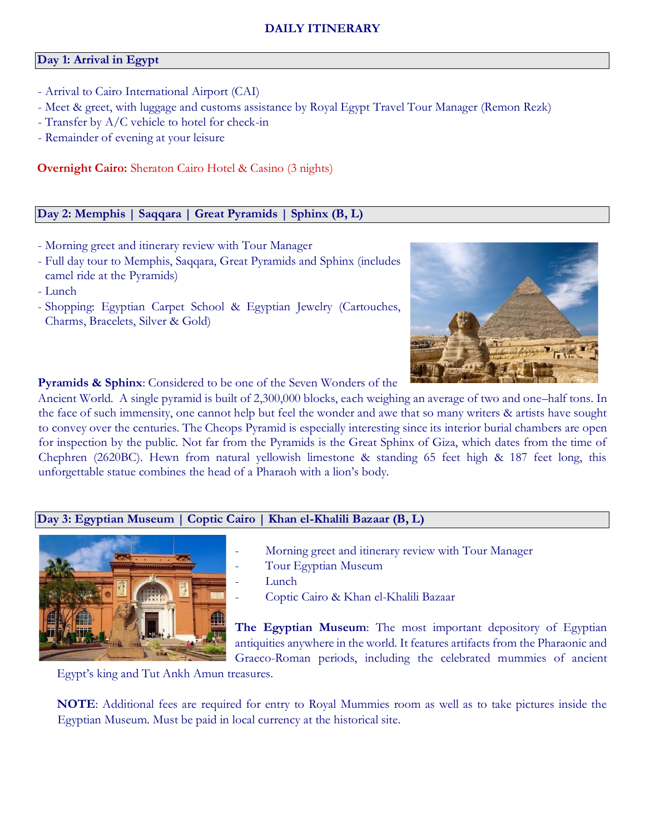### **DAILY ITINERARY**

#### **Day 1: Arrival in Egypt**

- Arrival to Cairo International Airport (CAI)
- Meet & greet, with luggage and customs assistance by Royal Egypt Travel Tour Manager (Remon Rezk)
- Transfer by A/C vehicle to hotel for check-in
- Remainder of evening at your leisure

**Overnight Cairo:** Sheraton Cairo Hotel & Casino (3 nights)

## **Day 2: Memphis | Saqqara | Great Pyramids | Sphinx (B, L)**

- Morning greet and itinerary review with Tour Manager
- Full day tour to Memphis, Saqqara, Great Pyramids and Sphinx (includes camel ride at the Pyramids)
- Lunch
- Shopping: Egyptian Carpet School & Egyptian Jewelry (Cartouches, Charms, Bracelets, Silver & Gold)



**Pyramids & Sphinx**: Considered to be one of the Seven Wonders of the

Ancient World. A single pyramid is built of 2,300,000 blocks, each weighing an average of two and one–half tons. In the face of such immensity, one cannot help but feel the wonder and awe that so many writers & artists have sought to convey over the centuries. The Cheops Pyramid is especially interesting since its interior burial chambers are open for inspection by the public. Not far from the Pyramids is the Great Sphinx of Giza, which dates from the time of Chephren (2620BC). Hewn from natural yellowish limestone & standing 65 feet high & 187 feet long, this unforgettable statue combines the head of a Pharaoh with a lion's body.

#### **Day 3: Egyptian Museum | Coptic Cairo | Khan el-Khalili Bazaar (B, L)**



- Morning greet and itinerary review with Tour Manager
- Tour Egyptian Museum
- Lunch
- Coptic Cairo & Khan el-Khalili Bazaar

**The Egyptian Museum**: The most important depository of Egyptian antiquities anywhere in the world. It features artifacts from the Pharaonic and Graeco-Roman periods, including the celebrated mummies of ancient

Egypt's king and Tut Ankh Amun treasures.

**NOTE**: Additional fees are required for entry to Royal Mummies room as well as to take pictures inside the Egyptian Museum. Must be paid in local currency at the historical site.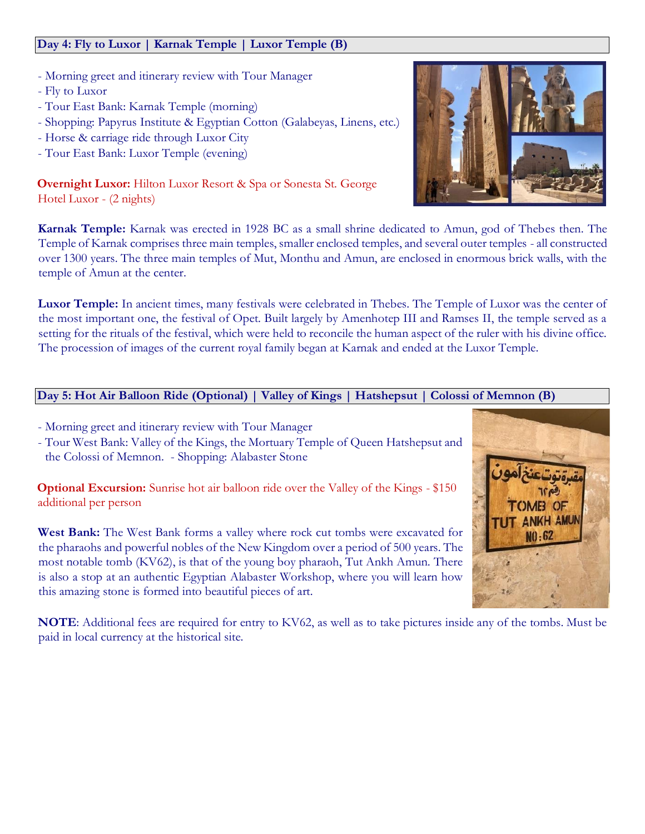# **Day 4: Fly to Luxor | Karnak Temple | Luxor Temple (B)**

- Morning greet and itinerary review with Tour Manager
- Fly to Luxor
- Tour East Bank: Karnak Temple (morning)
- Shopping: Papyrus Institute & Egyptian Cotton (Galabeyas, Linens, etc.)
- Horse & carriage ride through Luxor City
- Tour East Bank: Luxor Temple (evening)

**Overnight Luxor:** Hilton Luxor Resort & Spa or Sonesta St. George Hotel Luxor - (2 nights)

**Karnak Temple:** Karnak was erected in 1928 BC as a small shrine dedicated to Amun, god of Thebes then. The Temple of Karnak comprises three main temples, smaller enclosed temples, and several outer temples - all constructed over 1300 years. The three main temples of Mut, Monthu and Amun, are enclosed in enormous brick walls, with the temple of Amun at the center.

**Luxor Temple:** In ancient times, many festivals were celebrated in Thebes. The Temple of Luxor was the center of the most important one, the festival of Opet. Built largely by Amenhotep III and Ramses II, the temple served as a setting for the rituals of the festival, which were held to reconcile the human aspect of the ruler with his divine office. The procession of images of the current royal family began at Karnak and ended at the Luxor Temple.

# **Day 5: Hot Air Balloon Ride (Optional) | Valley of Kings | Hatshepsut | Colossi of Memnon (B)**

- Morning greet and itinerary review with Tour Manager
- Tour West Bank: Valley of the Kings, the Mortuary Temple of Queen Hatshepsut and the Colossi of Memnon. - Shopping: Alabaster Stone

**Optional Excursion:** Sunrise hot air balloon ride over the Valley of the Kings - \$150 additional per person

West Bank: The West Bank forms a valley where rock cut tombs were excavated for the pharaohs and powerful nobles of the New Kingdom over a period of 500 years. The most notable tomb (KV62), is that of the young boy pharaoh, Tut Ankh Amun. There is also a stop at an authentic Egyptian Alabaster Workshop, where you will learn how this amazing stone is formed into beautiful pieces of art.



**NOTE**: Additional fees are required for entry to KV62, as well as to take pictures inside any of the tombs. Must be paid in local currency at the historical site.